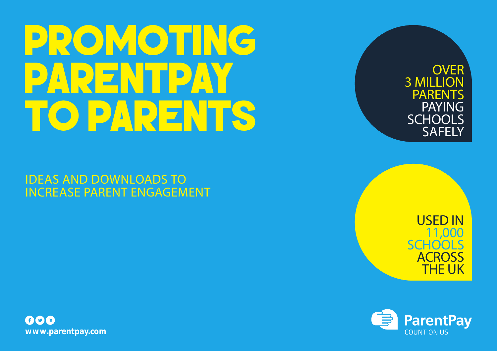# PROMOTING PARENTPAY TO PARENTS

IDEAS AND DOWNLOADS TO INCREASE PARENT ENGAGEMENT 3 MILLION PARENTS PAYING **SCHOOLS SAFELY** 

**OVER** 

USED IN 11,000 **SCHOOLS ACROSS** THE UK



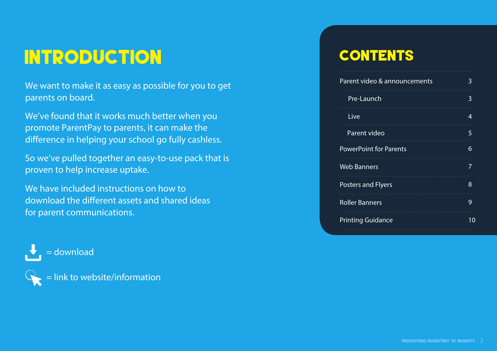# INTRODUCTION

We want to make it as easy as possible for you to get parents on board.

We've found that it works much better when you promote ParentPay to parents, it can make the difference in helping your school go fully cashless.

So we've pulled together an easy-to-use pack that is proven to help increase uptake.

We have included instructions on how to download the different assets and shared ideas for parent communications.





### **CONTENTS**

| Parent video & announcements  | 3  |
|-------------------------------|----|
| Pre-Launch                    | 3  |
| Live                          | 4  |
| Parent video                  | 5  |
| <b>PowerPoint for Parents</b> | 6  |
| <b>Web Banners</b>            | 7  |
| <b>Posters and Flyers</b>     | 8  |
| <b>Roller Banners</b>         | 9  |
| <b>Printing Guidance</b>      | 10 |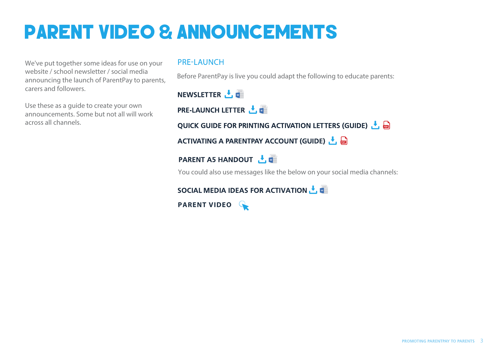# PARENT VIDEO & ANNOUNCEMENTS

We've put together some ideas for use on your website / school newsletter / social media announcing the launch of ParentPay to parents, carers and followers.

Use these as a guide to create your own announcements. Some but not all will work across all channels.

#### **PRE-LAUNCH**

Before ParentPay is live you could adapt the following to educate parents:

NEWSLETTER  $\cdot$ ,

**PRE-LAUNCH LETTER L** 

QUICK GUIDE FOR PRINTING ACTIVATION LETTERS (GUIDE)  $\mathbf{F}$ 

ACTIVATING A PARENTPAY ACCOUNT (GUIDE)

### **PARENT A5 HANDOUT**  $\frac{1}{\sqrt{2}}$

You could also use messages like the below on your social media channels:

SOCIAL MEDIA IDEAS FOR ACTIVATION ↓

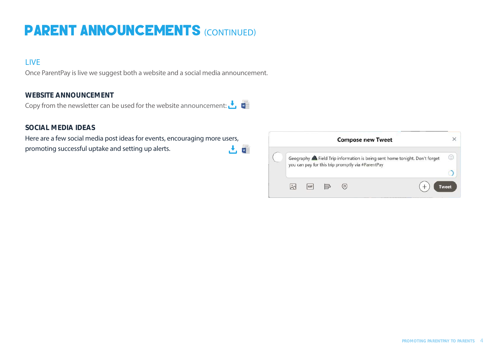### PARENT ANNOUNCEMENTS (CONTINUED)

### **LIVE**

Once ParentPay is live we suggest both a website and a social media announcement.

#### **WEBSITE ANNOUNCEMENT**

Copy from the newsletter can be used for the website announcement:  $\bigcup$ 

#### **SOCIAL MEDIA IDEAS**

Here are a few social media post ideas for events, encouraging more users, 古帽 promoting successful uptake and setting up alerts.

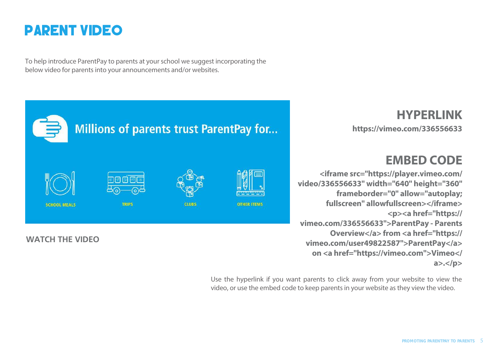

To help introduce ParentPay to parents at your school we suggest incorporating the below video for parents into your announcements and/or websites.

#### **HYPERLINK Millions of parents trust ParentPay for... <https://vimeo.com/336556633> EMBED CODE <iframe src="https://player.vimeo.com/ video/336556633" width="640" height="360" frameborder="0" allow="autoplay; fullscreen" allowfullscreen></iframe> SCHOOL MEALS TRIPS CLUBS OTHER ITEMS <p><a href="https:// vimeo.com/336556633">ParentPay - Parents Overview</a> from <a href="https:// [WATCH THE VIDEO](https://vimeo.com/336556633) vimeo.com/user49822587">ParentPay</a> on <a href="https://vimeo.com">Vimeo</**

Use the hyperlink if you want parents to click away from your website to view the video, or use the embed code to keep parents in your website as they view the video.

**a>.</p>**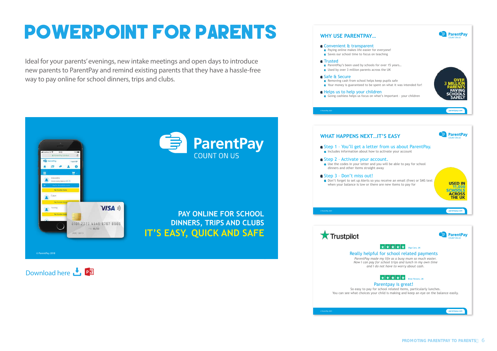# POWERPOINT FOR PARENTS

Ideal for your parents' evenings, new intake meetings and open days to introduce new parents to ParentPay and remind existing parents that they have a hassle-free way to pay online for school dinners, trips and clubs.



Download here  $\sqrt{\phantom{a}}$ , **Pg** 

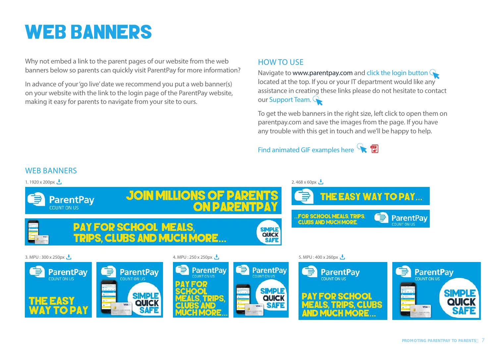### WEB BANNERS

Why not embed a link to the parent pages of our website from the web banners below so parents can quickly visit ParentPay for more information?

In advance of your 'go live' date we recommend you put a web banner(s) on your website with the link to the login page of the ParentPay website, making it easy for parents to navigate from your site to ours.

### HOW TO USE

Navigate to www.parentpay.com and [click the login button](http://www.parentpay.com) located at the top. If you or your IT department would like any assistance in creating these links please do not hesitate to contact our [Support Team.](http://www.parentpay.com)

To get the web banners in the right size, left click to open them on parentpay.com and save the images from the page. If you have any trouble with this get in touch and we'll be happy to help.

### Find animated GIF examples here

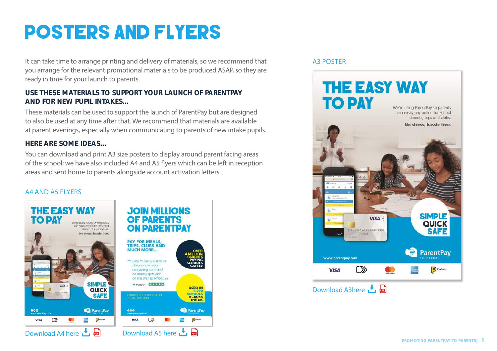### POSTERS AND FLYERS

It can take time to arrange printing and delivery of materials, so we recommend that you arrange for the relevant promotional materials to be produced ASAP, so they are ready in time for your launch to parents.

#### **USE THESE MATERIALS TO SUPPORT YOUR LAUNCH OF PARENTPAY AND FOR NEW PUPIL INTAKES…**

These materials can be used to support the launch of ParentPay but are designed to also be used at any time after that. We recommend that materials are available at parent evenings, especially when communicating to parents of new intake pupils.

#### **HERE ARE SOME IDEAS…**

You can download and print A3 size posters to display around parent facing areas of the school; we have also included A4 and A5 flyers which can be left in reception areas and sent home to parents alongside account activation letters.

#### A4 AND A5 FLYERS



#### A3 POSTER

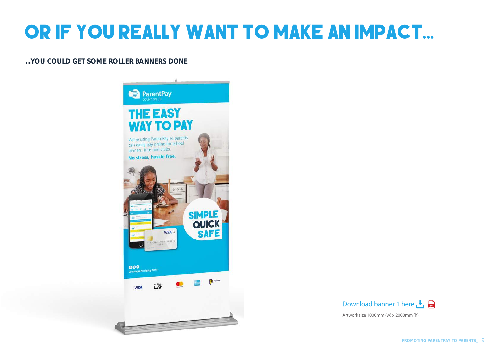# OR IF YOU REALLY WANT TO MAKE AN IMPACT...

#### **...YOU COULD GET SOME ROLLER BANNERS DONE**





Artwork size 1000mm (w) x 2000mm (h)